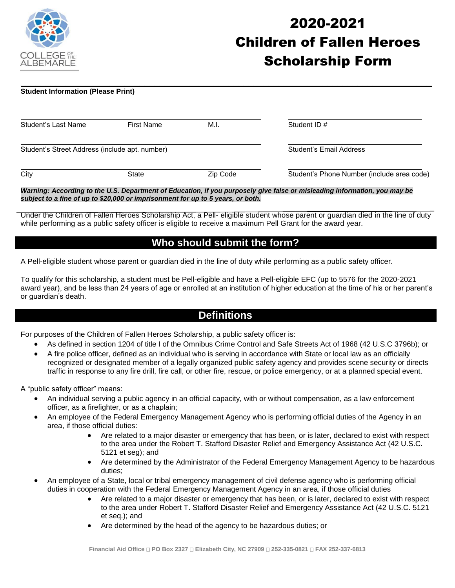

# 2020-2021 Children of Fallen Heroes Scholarship Form

#### **\_\_\_\_\_\_\_\_\_\_\_\_\_\_\_\_\_\_\_\_\_\_\_\_\_\_\_\_\_\_\_\_\_\_\_\_\_\_\_\_\_\_\_\_\_\_\_\_\_\_\_\_\_\_\_\_\_\_\_\_\_\_\_\_\_\_\_\_\_\_\_\_\_\_\_\_\_\_\_\_\_\_\_ Student Information (Please Print)**

| Student's Last Name                            | <b>First Name</b> | M.I.     | Student ID#                                |
|------------------------------------------------|-------------------|----------|--------------------------------------------|
| Student's Street Address (include apt. number) |                   |          | Student's Email Address                    |
| City                                           | State             | Zip Code | Student's Phone Number (include area code) |

*Warning: According to the U.S. Department of Education, if you purposely give false or misleading information, you may be subject to a fine of up to \$20,000 or imprisonment for up to 5 years, or both.*

Under the Children of Fallen Heroes Scholarship Act, a Pell- eligible student whose parent or guardian died in the line of duty while performing as a public safety officer is eligible to receive a maximum Pell Grant for the award year.

### **Who should submit the form?**

A Pell-eligible student whose parent or guardian died in the line of duty while performing as a public safety officer.

To qualify for this scholarship, a student must be Pell-eligible and have a Pell-eligible EFC (up to 5576 for the 2020-2021 award year), and be less than 24 years of age or enrolled at an institution of higher education at the time of his or her parent's or guardian's death.

### **Definitions**

For purposes of the Children of Fallen Heroes Scholarship, a public safety officer is:

- As defined in section 1204 of title I of the Omnibus Crime Control and Safe Streets Act of 1968 (42 U.S.C 3796b); or
- A fire police officer, defined as an individual who is serving in accordance with State or local law as an officially recognized or designated member of a legally organized public safety agency and provides scene security or directs traffic in response to any fire drill, fire call, or other fire, rescue, or police emergency, or at a planned special event.

A "public safety officer" means:

- An individual serving a public agency in an official capacity, with or without compensation, as a law enforcement officer, as a firefighter, or as a chaplain;
- An employee of the Federal Emergency Management Agency who is performing official duties of the Agency in an area, if those official duties:
	- Are related to a major disaster or emergency that has been, or is later, declared to exist with respect to the area under the Robert T. Stafford Disaster Relief and Emergency Assistance Act (42 U.S.C. 5121 et seg); and
	- Are determined by the Administrator of the Federal Emergency Management Agency to be hazardous duties;
- An employee of a State, local or tribal emergency management of civil defense agency who is performing official duties in cooperation with the Federal Emergency Management Agency in an area, if those official duties
	- Are related to a major disaster or emergency that has been, or is later, declared to exist with respect to the area under Robert T. Stafford Disaster Relief and Emergency Assistance Act (42 U.S.C. 5121 et seq.); and
	- Are determined by the head of the agency to be hazardous duties; or